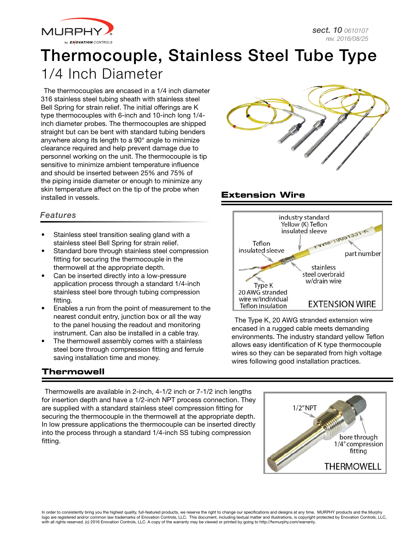

# Thermocouple, Stainless Steel Tube Type 1/4 Inch Diameter

The thermocouples are encased in a 1/4 inch diameter 316 stainless steel tubing sheath with stainless steel Bell Spring for strain relief. The initial offerings are K type thermocouples with 6-inch and 10-inch long 1/4 inch diameter probes. The thermocouples are shipped straight but can be bent with standard tubing benders anywhere along its length to a 90° angle to minimize clearance required and help prevent damage due to personnel working on the unit. The thermocouple is tip sensitive to minimize ambient temperature influence and should be inserted between 25% and 75% of the piping inside diameter or enough to minimize any skin temperature affect on the tip of the probe when installed in vessels.



# **Extension Wire**

### *Features*

- Stainless steel transition sealing gland with a stainless steel Bell Spring for strain relief.
- Standard bore through stainless steel compression fitting for securing the thermocouple in the thermowell at the appropriate depth.
- Can be inserted directly into a low-pressure application process through a standard 1/4-inch stainless steel bore through tubing compression fitting.
- Enables a run from the point of measurement to the nearest conduit entry, junction box or all the way to the panel housing the readout and monitoring instrument. Can also be installed in a cable tray.
- The thermowell assembly comes with a stainless steel bore through compression fitting and ferrule saving installation time and money.

#### industry standard Yellow (K) Teflon insulated sleeve TCCTCOOL-UNA Teflon insulated sleeve part number stainless steel overbraid w/drain wire Type K 20 AWG stranded wire w/individual **EXTENSION WIRE** Teflon insulation

The Type K, 20 AWG stranded extension wire encased in a rugged cable meets demanding environments. The industry standard yellow Teflon allows easy identification of K type thermocouple wires so they can be separated from high voltage wires following good installation practices.

# **Thermowell**

Thermowells are available in 2-inch, 4-1/2 inch or 7-1/2 inch lengths for insertion depth and have a 1/2-inch NPT process connection. They are supplied with a standard stainless steel compression fitting for securing the thermocouple in the thermowell at the appropriate depth. In low pressure applications the thermocouple can be inserted directly into the process through a standard 1/4-inch SS tubing compression fitting.